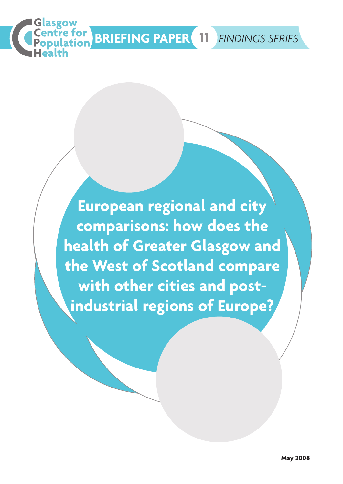

**European regional and city comparisons: how does the health of Greater Glasgow and the West of Scotland compare with other cities and postindustrial regions of Europe?**

asgow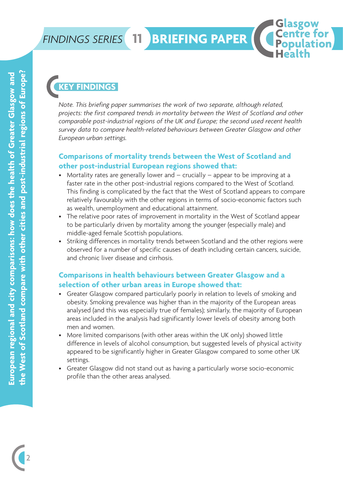### **FINDINGS SERIES 11 BRIEFING PAPER**

**11**

### **FINDINGS**

*Note. This briefing paper summarises the work of two separate, although related, projects: the first compared trends in mortality between the West of Scotland and other comparable post-industrial regions of the UK and Europe; the second used recent health survey data to compare health-related behaviours between Greater Glasgow and other European urban settings.*

Glasgow **Centre for Population** 

#### **Comparisons of mortality trends between the West of Scotland and other post-industrial European regions showed that:**

- Mortality rates are generally lower and crucially appear to be improving at a faster rate in the other post-industrial regions compared to the West of Scotland. This finding is complicated by the fact that the West of Scotland appears to compare relatively favourably with the other regions in terms of socio-economic factors such as wealth, unemployment and educational attainment.
- The relative poor rates of improvement in mortality in the West of Scotland appear to be particularly driven by mortality among the younger (especially male) and middle-aged female Scottish populations.
- Striking differences in mortality trends between Scotland and the other regions were observed for a number of specific causes of death including certain cancers, suicide, and chronic liver disease and cirrhosis.

### **Comparisons in health behaviours between Greater Glasgow and a selection of other urban areas in Europe showed that:**

- Greater Glasgow compared particularly poorly in relation to levels of smoking and obesity. Smoking prevalence was higher than in the majority of the European areas analysed (and this was especially true of females); similarly, the majority of European areas included in the analysis had significantly lower levels of obesity among both men and women.
- More limited comparisons (with other areas within the UK only) showed little difference in levels of alcohol consumption, but suggested levels of physical activity appeared to be significantly higher in Greater Glasgow compared to some other UK settings.
- Greater Glasgow did not stand out as having a particularly worse socio-economic profile than the other areas analysed.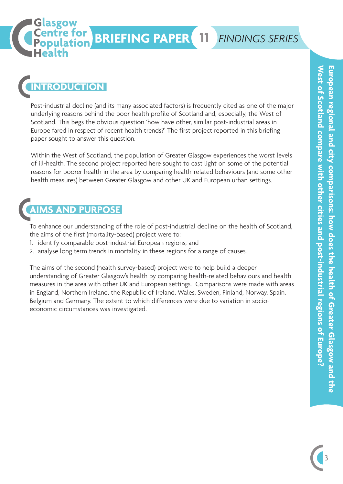# **BRIEFING PAPER 11** *FINDINGS SERIES*

## **ITRODUCTION**

Glasgow **Centre for Population** 

Post-industrial decline (and its many associated factors) is frequently cited as one of the major underlying reasons behind the poor health profile of Scotland and, especially, the West of Scotland. This begs the obvious question 'how have other, similar post-industrial areas in Europe fared in respect of recent health trends?' The first project reported in this briefing paper sought to answer this question.

Within the West of Scotland, the population of Greater Glasgow experiences the worst levels of ill-health. The second project reported here sought to cast light on some of the potential reasons for poorer health in the area by comparing health-related behaviours (and some other health measures) between Greater Glasgow and other UK and European urban settings.

### **AND PURPOSE**

To enhance our understanding of the role of post-industrial decline on the health of Scotland, the aims of the first (mortality-based) project were to:

- 1. identify comparable post-industrial European regions; and
- 2. analyse long term trends in mortality in these regions for a range of causes.

The aims of the second (health survey-based) project were to help build a deeper understanding of Greater Glasgow's health by comparing health-related behaviours and health measures in the area with other UK and European settings. Comparisons were made with areas in England, Northern Ireland, the Republic of Ireland, Wales, Sweden, Finland, Norway, Spain, Belgium and Germany. The extent to which differences were due to variation in socioeconomic circumstances was investigated.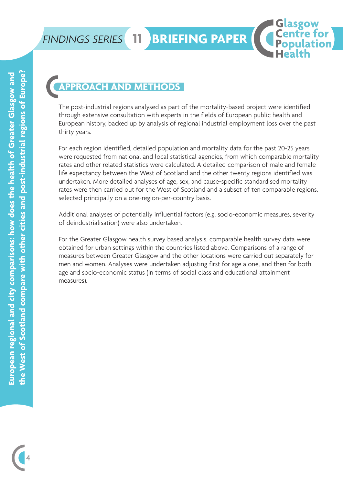### **APPROACH AND METHODS**

**11**

The post-industrial regions analysed as part of the mortality-based project were identified through extensive consultation with experts in the fields of European public health and European history, backed up by analysis of regional industrial employment loss over the past thirty years.

Glasgow<br>Centre for

**Population** 

For each region identified, detailed population and mortality data for the past 20-25 years were requested from national and local statistical agencies, from which comparable mortality rates and other related statistics were calculated. A detailed comparison of male and female life expectancy between the West of Scotland and the other twenty regions identified was undertaken. More detailed analyses of age, sex, and cause-specific standardised mortality rates were then carried out for the West of Scotland and a subset of ten comparable regions, selected principally on a one-region-per-country basis.

Additional analyses of potentially influential factors (e.g. socio-economic measures, severity of deindustrialisation) were also undertaken.

For the Greater Glasgow health survey based analysis, comparable health survey data were obtained for urban settings within the countries listed above. Comparisons of a range of measures between Greater Glasgow and the other locations were carried out separately for men and women. Analyses were undertaken adjusting first for age alone, and then for both age and socio-economic status (in terms of social class and educational attainment measures).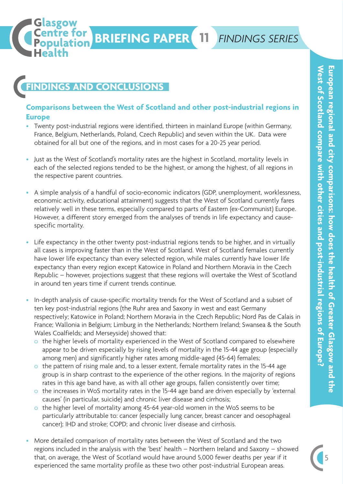### **FINDINGS AND CONCLUSIONS**

Glasgow

Centre for

#### **Comparisons between the West of Scotland and other post-industrial regions in Europe**

**BRIEFING PAPER 11** *FINDINGS SERIES*

- Twenty post-industrial regions were identified, thirteen in mainland Europe (within Germany, France, Belgium, Netherlands, Poland, Czech Republic) and seven within the UK. Data were obtained for all but one of the regions, and in most cases for a 20-25 year period.
- Just as the West of Scotland's mortality rates are the highest in Scotland, mortality levels in each of the selected regions tended to be the highest, or among the highest, of all regions in the respective parent countries.
- A simple analysis of a handful of socio-economic indicators (GDP, unemployment, worklessness, economic activity, educational attainment) suggests that the West of Scotland currently fares relatively well in these terms, especially compared to parts of Eastern (ex-Communist) Europe. However, a different story emerged from the analyses of trends in life expectancy and causespecific mortality.
- Life expectancy in the other twenty post-industrial regions tends to be higher, and in virtually all cases is improving faster than in the West of Scotland. West of Scotland females currently have lower life expectancy than every selected region, while males currently have lower life expectancy than every region except Katowice in Poland and Northern Moravia in the Czech Republic – however, projections suggest that these regions will overtake the West of Scotland in around ten years time if current trends continue.
- In-depth analysis of cause-specific mortality trends for the West of Scotland and a subset of ten key post-industrial regions (the Ruhr area and Saxony in west and east Germany respectively; Katowice in Poland; Northern Moravia in the Czech Republic; Nord Pas de Calais in France; Wallonia in Belgium; Limburg in the Netherlands; Northern Ireland; Swansea & the South Wales Coalfields; and Merseyside) showed that:
	- o the higher levels of mortality experienced in the West of Scotland compared to elsewhere appear to be driven especially by rising levels of mortality in the 15-44 age group (especially among men) and significantly higher rates among middle-aged (45-64) females;
	- o the pattern of rising male and, to a lesser extent, female mortality rates in the 15-44 age group is in sharp contrast to the experience of the other regions. In the majority of regions rates in this age band have, as with all other age groups, fallen consistently over time;
	- o the increases in WoS mortality rates in the 15-44 age band are driven especially by 'external causes' (in particular, suicide) and chronic liver disease and cirrhosis;
	- o the higher level of mortality among 45-64 year-old women in the WoS seems to be particularly attributable to: cancer (especially lung cancer, breast cancer and oesophageal cancer); IHD and stroke; COPD; and chronic liver disease and cirrhosis.
- More detailed comparison of mortality rates between the West of Scotland and the two regions included in the analysis with the 'best' health – Northern Ireland and Saxony – showed that, on average, the West of Scotland would have around 5,000 fewer deaths per year if it experienced the same mortality profile as these two other post-industrial European areas.

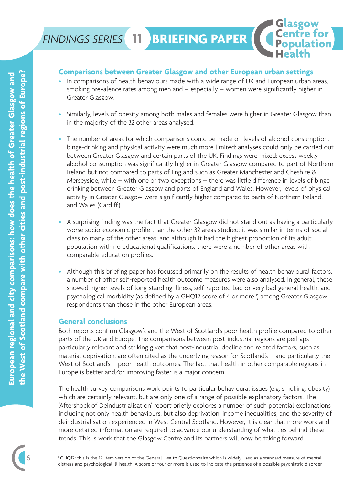**11**

#### **Comparisons between Greater Glasgow and other European urban settings**

• In comparisons of health behaviours made with a wide range of UK and European urban areas, smoking prevalence rates among men and – especially – women were significantly higher in Greater Glasgow.

Glasgow<br>Centre for<br>Population

- Similarly, levels of obesity among both males and females were higher in Greater Glasgow than in the majority of the 32 other areas analysed.
- The number of areas for which comparisons could be made on levels of alcohol consumption, binge-drinking and physical activity were much more limited: analyses could only be carried out between Greater Glasgow and certain parts of the UK. Findings were mixed: excess weekly alcohol consumption was significantly higher in Greater Glasgow compared to part of Northern Ireland but not compared to parts of England such as Greater Manchester and Cheshire & Merseyside, while – with one or two exceptions – there was little difference in levels of binge drinking between Greater Glasgow and parts of England and Wales. However, levels of physical activity in Greater Glasgow were significantly higher compared to parts of Northern Ireland, and Wales (Cardiff).
- A surprising finding was the fact that Greater Glasgow did not stand out as having a particularly worse socio-economic profile than the other 32 areas studied: it was similar in terms of social class to many of the other areas, and although it had the highest proportion of its adult population with no educational qualifications, there were a number of other areas with comparable education profiles.
- Although this briefing paper has focussed primarily on the results of health behavioural factors, a number of other self-reported health outcome measures were also analysed. In general, these showed higher levels of long-standing illness, self-reported bad or very bad general health, and psychological morbidity (as defined by a GHQ12 score of 4 or more 1 ) among Greater Glasgow respondents than those in the other European areas.

#### **General conclusions**

Both reports confirm Glasgow's and the West of Scotland's poor health profile compared to other parts of the UK and Europe. The comparisons between post-industrial regions are perhaps particularly relevant and striking given that post-industrial decline and related factors, such as material deprivation, are often cited as the underlying reason for Scotland's – and particularly the West of Scotland's – poor health outcomes. The fact that health in other comparable regions in Europe is better and/or improving faster is a major concern.

The health survey comparisons work points to particular behavioural issues (e.g. smoking, obesity) which are certainly relevant, but are only one of a range of possible explanatory factors. The 'Aftershock of Deindustrialisation' report briefly explores a number of such potential explanations including not only health behaviours, but also deprivation, income inequalities, and the severity of deindustrialisation experienced in West Central Scotland. However, it is clear that more work and more detailed information are required to advance our understanding of what lies behind these trends. This is work that the Glasgow Centre and its partners will now be taking forward.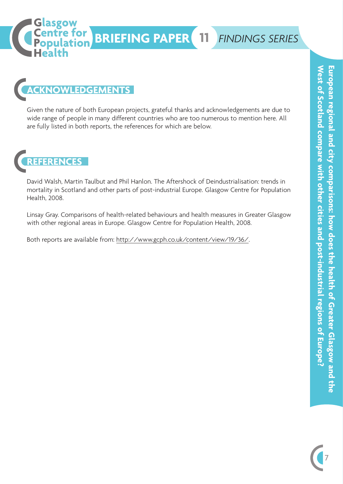

### **ACKNOWLEDGEMENTS**

Glasgow<br>|Centre for<br>|Population

Given the nature of both European projects, grateful thanks and acknowledgements are due to wide range of people in many different countries who are too numerous to mention here. All are fully listed in both reports, the references for which are below.

**REFERENCES**

David Walsh, Martin Taulbut and Phil Hanlon. The Aftershock of Deindustrialisation: trends in mortality in Scotland and other parts of post-industrial Europe. Glasgow Centre for Population Health, 2008.

Linsay Gray. Comparisons of health-related behaviours and health measures in Greater Glasgow with other regional areas in Europe. Glasgow Centre for Population Health, 2008.

Both reports are available from: http://www.gcph.co.uk/content/view/19/36/.